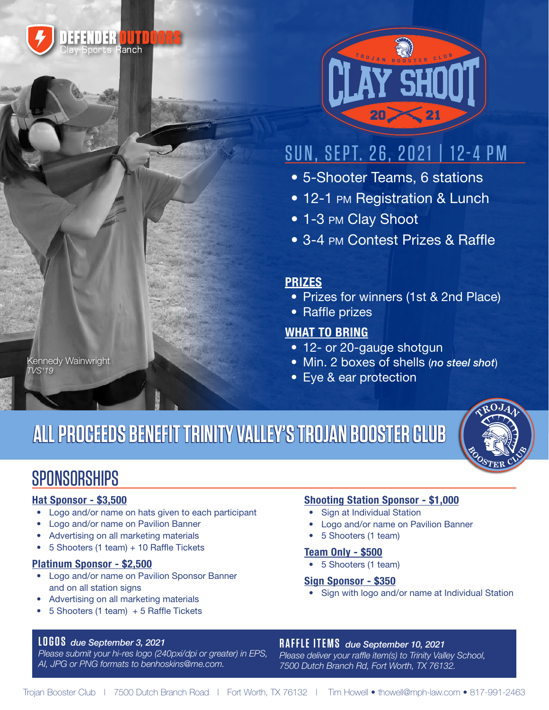



# SUN, SEPT. 26, 2021 | 12-4 PM

- 5-Shooter Teams, 6 stations
- 12-1 PM Registration & Lunch
- 1-3 PM Clay Shoot
- 3-4 PM Contest Prizes & Raffle

### **PRIZES**

- Prizes for winners (1st & 2nd Place)
- Raffle prizes

### **WHAT TO BRING**

- 12- or 20-gauge shotgun
- Min. 2 boxes of shells (*no steel shot*)
- Eye & ear protection

# **ALL PROCEEDS BENEFIT TRINITY VALLEY'S TROJAN BOOSTER CLUB ALL PROCEEDS BENEFIT TRINITY VALLEY'S TROJAN BOOSTER CLUB**



### **SPONSORSHIPS**

Kennedy Wainwright

*TVS'19*

#### **Hat Sponsor - \$3,500**

- Logo and/or name on hats given to each participant
- Logo and/or name on Pavilion Banner
- Advertising on all marketing materials
- 5 Shooters (1 team) + 10 Raffle Tickets

#### **Platinum Sponsor - \$2,500**

- Logo and/or name on Pavilion Sponsor Banner and on all station signs
- Advertising on all marketing materials
- 5 Shooters (1 team) + 5 Raffle Tickets

### **Shooting Station Sponsor - \$1,000**

- Sign at Individual Station
- Logo and/or name on Pavilion Banner
- 5 Shooters (1 team)

#### **Team Only - \$500**

• 5 Shooters (1 team)

#### **Sign Sponsor - \$350**

• Sign with logo and/or name at Individual Station

#### **LOGOS** *due September 3, 2021*

*Please submit your hi-res logo (240pxi/dpi or greater) in EPS, AI, JPG or PNG formats to benhoskins@me.com.*

#### **RAFFLE ITEMS** *due September 10, 2021*

*Please deliver your raffle item(s) to Trinity Valley School, 7500 Dutch Branch Rd, Fort Worth, TX 76132.*